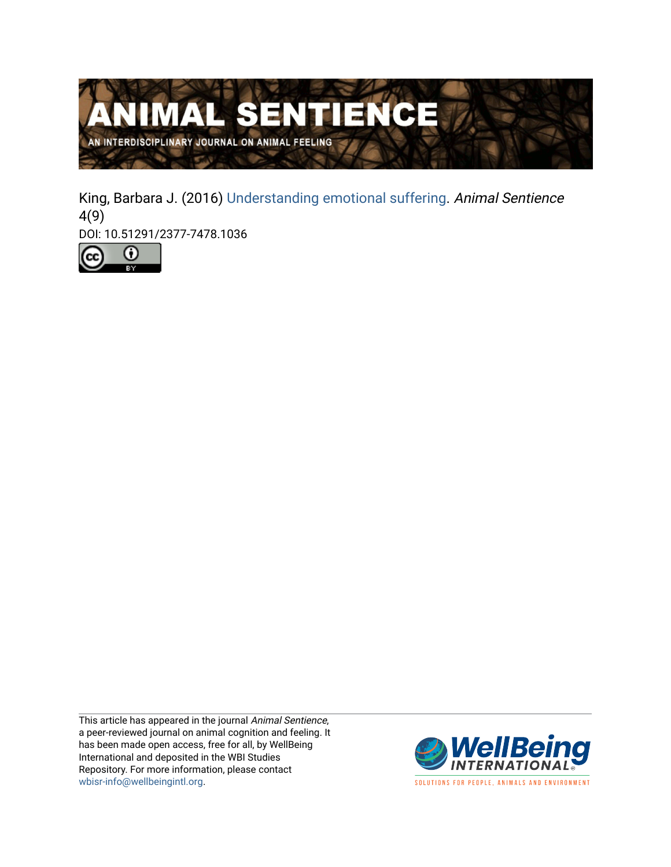

King, Barbara J. (2016) [Understanding emotional suffering](https://www.wellbeingintlstudiesrepository.org/animsent/vol1/iss4/9). Animal Sentience 4(9)

DOI: 10.51291/2377-7478.1036



This article has appeared in the journal Animal Sentience, a peer-reviewed journal on animal cognition and feeling. It has been made open access, free for all, by WellBeing International and deposited in the WBI Studies Repository. For more information, please contact [wbisr-info@wellbeingintl.org](mailto:wbisr-info@wellbeingintl.org).



SOLUTIONS FOR PEOPLE, ANIMALS AND ENVIRONMENT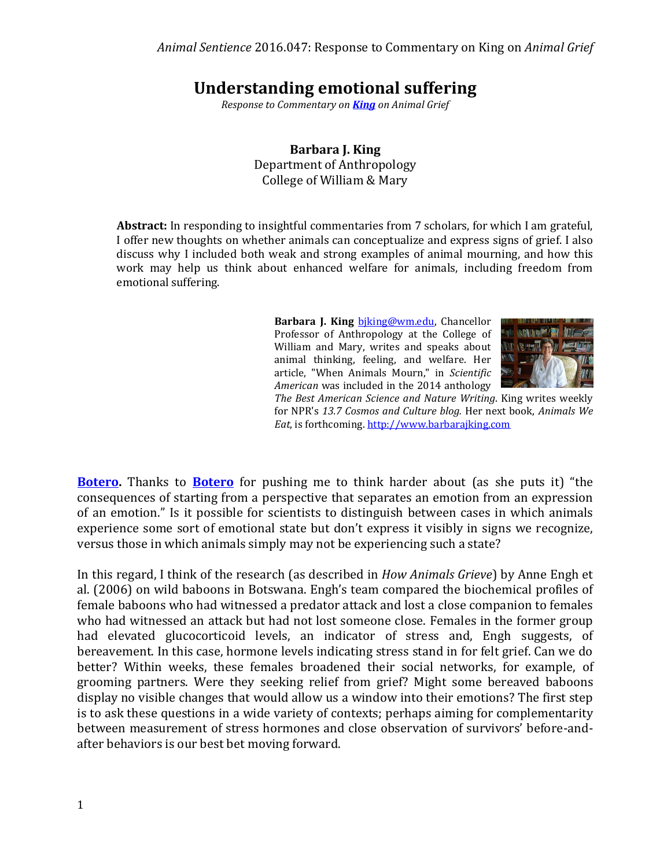## **Understanding emotional suffering**

*Response to Commentary on [King](http://animalstudiesrepository.org/animsent/vol1/iss4/1/) on Animal Grief*

**Barbara J. King** Department of Anthropology College of William & Mary

**Abstract:** In responding to insightful commentaries from 7 scholars, for which I am grateful, I offer new thoughts on whether animals can conceptualize and express signs of grief. I also discuss why I included both weak and strong examples of animal mourning, and how this work may help us think about enhanced welfare for animals, including freedom from emotional suffering.

> Barbara J. King biking@wm.edu, Chancellor Professor of Anthropology at the College of William and Mary, writes and speaks about animal thinking, feeling, and welfare. Her article, "When Animals Mourn," in *Scientific American* was included in the 2014 anthology



*The Best American Science and Nature Writing*. King writes weekly for NPR's *13.7 Cosmos and Culture blog.* Her next book, *Animals We Eat*, is forthcoming. [http://www.barbarajking.com](http://www.barbarajking.com/)

**[Botero.](http://animalstudiesrepository.org/animsent/vol1/iss4/2/)** Thanks to **[Botero](http://animalstudiesrepository.org/animsent/vol1/iss4/2/)** for pushing me to think harder about (as she puts it) "the consequences of starting from a perspective that separates an emotion from an expression of an emotion." Is it possible for scientists to distinguish between cases in which animals experience some sort of emotional state but don't express it visibly in signs we recognize, versus those in which animals simply may not be experiencing such a state?

In this regard, I think of the research (as described in *How Animals Grieve*) by Anne Engh et al. (2006) on wild baboons in Botswana. Engh's team compared the biochemical profiles of female baboons who had witnessed a predator attack and lost a close companion to females who had witnessed an attack but had not lost someone close. Females in the former group had elevated glucocorticoid levels, an indicator of stress and, Engh suggests, of bereavement. In this case, hormone levels indicating stress stand in for felt grief. Can we do better? Within weeks, these females broadened their social networks, for example, of grooming partners. Were they seeking relief from grief? Might some bereaved baboons display no visible changes that would allow us a window into their emotions? The first step is to ask these questions in a wide variety of contexts; perhaps aiming for complementarity between measurement of stress hormones and close observation of survivors' before-andafter behaviors is our best bet moving forward.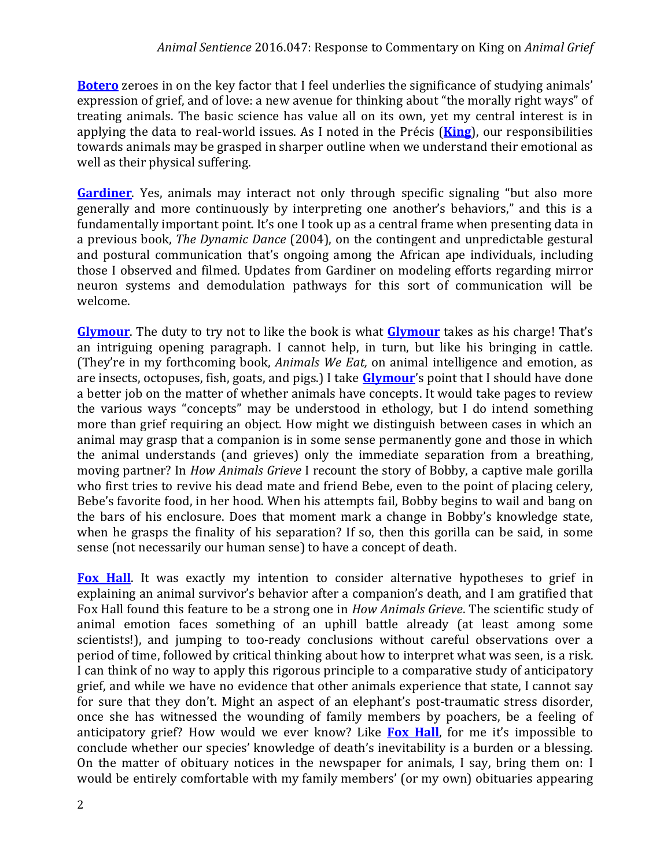**[Botero](http://animalstudiesrepository.org/animsent/vol1/iss4/2/)** zeroes in on the key factor that I feel underlies the significance of studying animals' expression of grief, and of love: a new avenue for thinking about "the morally right ways" of treating animals. The basic science has value all on its own, yet my central interest is in applying the data to real-world issues. As I noted in the Précis (**[King](http://animalstudiesrepository.org/animsent/vol1/iss4/1/)**), our responsibilities towards animals may be grasped in sharper outline when we understand their emotional as well as their physical suffering.

**[Gardiner](http://animalstudiesrepository.org/animsent/vol1/iss4/4/)**. Yes, animals may interact not only through specific signaling "but also more generally and more continuously by interpreting one another's behaviors," and this is a fundamentally important point. It's one I took up as a central frame when presenting data in a previous book, *The Dynamic Dance* (2004), on the contingent and unpredictable gestural and postural communication that's ongoing among the African ape individuals, including those I observed and filmed. Updates from Gardiner on modeling efforts regarding mirror neuron systems and demodulation pathways for this sort of communication will be welcome.

**[Glymour](http://animalstudiesrepository.org/animsent/vol1/iss4/5/)**. The duty to try not to like the book is what **[Glymour](http://animalstudiesrepository.org/animsent/vol1/iss4/5/)** takes as his charge! That's an intriguing opening paragraph. I cannot help, in turn, but like his bringing in cattle. (They're in my forthcoming book, *Animals We Eat,* on animal intelligence and emotion, as are insects, octopuses, fish, goats, and pigs.) I take **[Glymour](http://animalstudiesrepository.org/animsent/vol1/iss4/5/)**'s point that I should have done a better job on the matter of whether animals have concepts. It would take pages to review the various ways "concepts" may be understood in ethology, but I do intend something more than grief requiring an object. How might we distinguish between cases in which an animal may grasp that a companion is in some sense permanently gone and those in which the animal understands (and grieves) only the immediate separation from a breathing, moving partner? In *How Animals Grieve* I recount the story of Bobby, a captive male gorilla who first tries to revive his dead mate and friend Bebe, even to the point of placing celery, Bebe's favorite food, in her hood. When his attempts fail, Bobby begins to wail and bang on the bars of his enclosure. Does that moment mark a change in Bobby's knowledge state, when he grasps the finality of his separation? If so, then this gorilla can be said, in some sense (not necessarily our human sense) to have a concept of death.

**[Fox Hall](http://animalstudiesrepository.org/animsent/vol1/iss4/3/)**. It was exactly my intention to consider alternative hypotheses to grief in explaining an animal survivor's behavior after a companion's death, and I am gratified that Fox Hall found this feature to be a strong one in *How Animals Grieve*. The scientific study of animal emotion faces something of an uphill battle already (at least among some scientists!), and jumping to too-ready conclusions without careful observations over a period of time, followed by critical thinking about how to interpret what was seen, is a risk. I can think of no way to apply this rigorous principle to a comparative study of anticipatory grief, and while we have no evidence that other animals experience that state, I cannot say for sure that they don't. Might an aspect of an elephant's post-traumatic stress disorder, once she has witnessed the wounding of family members by poachers, be a feeling of anticipatory grief? How would we ever know? Like **[Fox Hall](http://animalstudiesrepository.org/animsent/vol1/iss4/3/)**, for me it's impossible to conclude whether our species' knowledge of death's inevitability is a burden or a blessing. On the matter of obituary notices in the newspaper for animals, I say, bring them on: I would be entirely comfortable with my family members' (or my own) obituaries appearing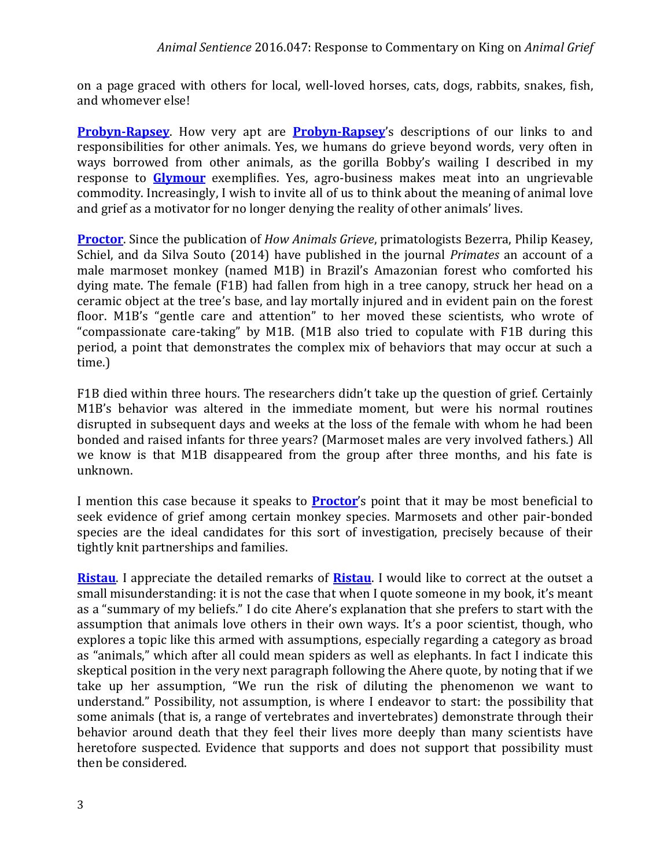on a page graced with others for local, well-loved horses, cats, dogs, rabbits, snakes, fish, and whomever else!

**[Probyn-Rapsey](http://animalstudiesrepository.org/animsent/vol1/iss4/6/)**. How very apt are **Probyn-Rapsey**'s descriptions of our links to and responsibilities for other animals. Yes, we humans do grieve beyond words, very often in ways borrowed from other animals, as the gorilla Bobby's wailing I described in my response to **[Glymour](http://animalstudiesrepository.org/animsent/vol1/iss4/5/)** exemplifies. Yes, agro-business makes meat into an ungrievable commodity. Increasingly, I wish to invite all of us to think about the meaning of animal love and grief as a motivator for no longer denying the reality of other animals' lives.

**[Proctor](http://animalstudiesrepository.org/animsent/vol1/iss4/7/)**. Since the publication of *How Animals Grieve*, primatologists Bezerra, Philip Keasey, Schiel, and da Silva Souto (2014) have published in the journal *Primates* an account of a male marmoset monkey (named M1B) in Brazil's Amazonian forest who comforted his dying mate. The female (F1B) had fallen from high in a tree canopy, struck her head on a ceramic object at the tree's base, and lay mortally injured and in evident pain on the forest floor. M1B's "gentle care and attention" to her moved these scientists, who wrote of "compassionate care-taking" by M1B. (M1B also tried to copulate with F1B during this period, a point that demonstrates the complex mix of behaviors that may occur at such a time.)

F1B died within three hours. The researchers didn't take up the question of grief. Certainly M1B's behavior was altered in the immediate moment, but were his normal routines disrupted in subsequent days and weeks at the loss of the female with whom he had been bonded and raised infants for three years? (Marmoset males are very involved fathers.) All we know is that M1B disappeared from the group after three months, and his fate is unknown.

I mention this case because it speaks to **[Proctor](http://animalstudiesrepository.org/animsent/vol1/iss4/7/)**'s point that it may be most beneficial to seek evidence of grief among certain monkey species. Marmosets and other pair-bonded species are the ideal candidates for this sort of investigation, precisely because of their tightly knit partnerships and families.

**[Ristau](http://animalstudiesrepository.org/animsent/vol1/iss4/8/)**. I appreciate the detailed remarks of **[Ristau](http://animalstudiesrepository.org/animsent/vol1/iss4/8/)**. I would like to correct at the outset a small misunderstanding: it is not the case that when I quote someone in my book, it's meant as a "summary of my beliefs." I do cite Ahere's explanation that she prefers to start with the assumption that animals love others in their own ways. It's a poor scientist, though, who explores a topic like this armed with assumptions, especially regarding a category as broad as "animals," which after all could mean spiders as well as elephants. In fact I indicate this skeptical position in the very next paragraph following the Ahere quote, by noting that if we take up her assumption, "We run the risk of diluting the phenomenon we want to understand." Possibility, not assumption, is where I endeavor to start: the possibility that some animals (that is, a range of vertebrates and invertebrates) demonstrate through their behavior around death that they feel their lives more deeply than many scientists have heretofore suspected. Evidence that supports and does not support that possibility must then be considered.